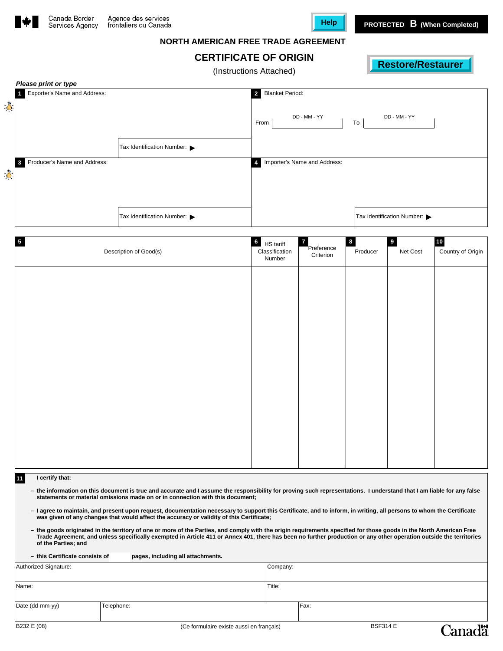



### **NORTH AMERICAN FREE TRADE AGREEMENT**

# **CERTIFICATE OF ORIGIN**

(Instructions Attached)

|   | Please print or type                         |                            |                                          |                            |  |  |  |
|---|----------------------------------------------|----------------------------|------------------------------------------|----------------------------|--|--|--|
|   | Exporter's Name and Address:                 |                            | <b>Blanket Period:</b><br>$\overline{2}$ |                            |  |  |  |
| 净 |                                              |                            | DD - MM - YY<br>From                     | DD - MM - YY<br>To         |  |  |  |
|   |                                              | Tax Identification Number: |                                          |                            |  |  |  |
| 専 | Producer's Name and Address:<br>$\mathbf{3}$ |                            | Importer's Name and Address:<br>Δ        |                            |  |  |  |
|   |                                              | Tax Identification Number: |                                          | Tax Identification Number: |  |  |  |

| $\sqrt{5}$<br>Description of Good(s) | $6$ HS tariff<br>Classification<br>Number | $\overline{7}$<br>Preference<br>Criterion | $\bf{8}$<br>Producer | $\overline{\mathbf{9}}$<br>Net Cost | $10\,$<br>Country of Origin |
|--------------------------------------|-------------------------------------------|-------------------------------------------|----------------------|-------------------------------------|-----------------------------|
|                                      |                                           |                                           |                      |                                     |                             |
|                                      |                                           |                                           |                      |                                     |                             |
|                                      |                                           |                                           |                      |                                     |                             |
|                                      |                                           |                                           |                      |                                     |                             |
|                                      |                                           |                                           |                      |                                     |                             |
|                                      |                                           |                                           |                      |                                     |                             |
|                                      |                                           |                                           |                      |                                     |                             |

#### **11 I certify that:**

- the information on this document is true and accurate and I assume the responsibility for proving such representations. I understand that I am liable for any false<br>statements or material omissions made on or in connectio
- **– I agree to maintain, and present upon request, documentation necessary to support this Certificate, and to inform, in writing, all persons to whom the Certificate was given of any changes that would affect the accuracy or validity of this Certificate;**
- he goods originated in the territory of one or more of the Parties, and comply with the origin requirements specified for those goods in the North American Free –<br>Trade Agreement, and unless specifically exempted in Articl **of the Parties; and**

| - this Certificate consists of | pages, including all attachments. |          |        |  |  |
|--------------------------------|-----------------------------------|----------|--------|--|--|
| Authorized Signature:          |                                   | Company: |        |  |  |
|                                |                                   |          |        |  |  |
| Name:                          |                                   |          | Title: |  |  |
|                                |                                   |          |        |  |  |
| Date (dd-mm-yy)<br>Telephone:  |                                   |          | Fax:   |  |  |
|                                |                                   |          |        |  |  |

**Canadä**